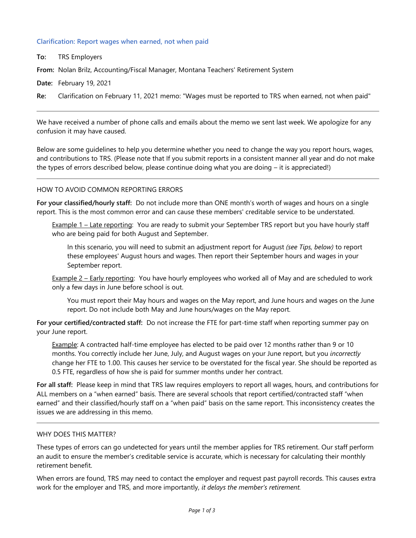## **Clarification: Report wages when earned, not when paid**

**To:** TRS Employers

**From:** Nolan Brilz, Accounting/Fiscal Manager, Montana Teachers' Retirement System

**Date:** February 19, 2021

**Re:** Clarification on February 11, 2021 memo: "Wages must be reported to TRS when earned, not when paid"

We have received a number of phone calls and emails about the memo we sent last week. We apologize for any confusion it may have caused.

Below are some guidelines to help you determine whether you need to change the way you report hours, wages, and contributions to TRS. (Please note that If you submit reports in a consistent manner all year and do not make the types of errors described below, please continue doing what you are doing – it is appreciated!)

### HOW TO AVOID COMMON REPORTING ERRORS

**For your classified/hourly staff:** Do not include more than ONE month's worth of wages and hours on a single report. This is the most common error and can cause these members' creditable service to be understated.

Example 1 – Late reporting: You are ready to submit your September TRS report but you have hourly staff who are being paid for both August and September.

In this scenario, you will need to submit an adjustment report for August *(see Tips, below)* to report these employees' August hours and wages. Then report their September hours and wages in your September report.

Example 2 – Early reporting: You have hourly employees who worked all of May and are scheduled to work only a few days in June before school is out.

You must report their May hours and wages on the May report, and June hours and wages on the June report. Do not include both May and June hours/wages on the May report.

**For your certified/contracted staff:** Do not increase the FTE for part-time staff when reporting summer pay on your June report.

Example: A contracted half-time employee has elected to be paid over 12 months rather than 9 or 10 months. You correctly include her June, July, and August wages on your June report, but you *incorrectly* change her FTE to 1.00. This causes her service to be overstated for the fiscal year. She should be reported as 0.5 FTE, regardless of how she is paid for summer months under her contract.

**For all staff:** Please keep in mind that TRS law requires employers to report all wages, hours, and contributions for ALL members on a "when earned" basis. There are several schools that report certified/contracted staff "when earned" and their classified/hourly staff on a "when paid" basis on the same report. This inconsistency creates the issues we are addressing in this memo.

### WHY DOES THIS MATTER?

These types of errors can go undetected for years until the member applies for TRS retirement. Our staff perform an audit to ensure the member's creditable service is accurate, which is necessary for calculating their monthly retirement benefit.

When errors are found, TRS may need to contact the employer and request past payroll records. This causes extra work for the employer and TRS, and more importantly, *it delays the member's retirement.*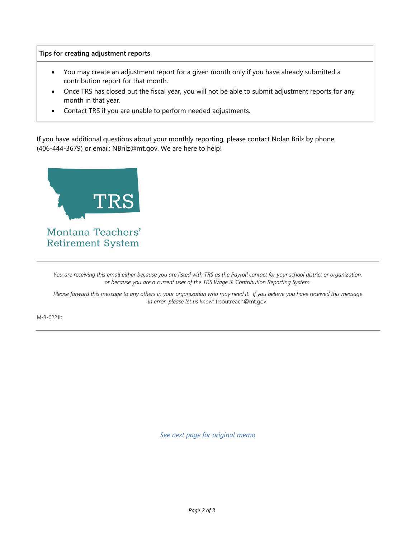## **Tips for creating adjustment reports**

- You may create an adjustment report for a given month only if you have already submitted a contribution report for that month.
- Once TRS has closed out the fiscal year, you will not be able to submit adjustment reports for any month in that year.
- Contact TRS if you are unable to perform needed adjustments.

If you have additional questions about your monthly reporting, please contact Nolan Brilz by phone (406-444-3679) or email: NBrilz@mt.gov. We are here to help!



*You are receiving this email either because you are listed with TRS as the Payroll contact for your school district or organization, or because you are a current user of the TRS Wage & Contribution Reporting System.*

*Please forward this message to any others in your organization who may need it. If you believe you have received this message in error, please let us know:* trsoutreach@mt.gov

M-3-0221b

*See next page for original memo*